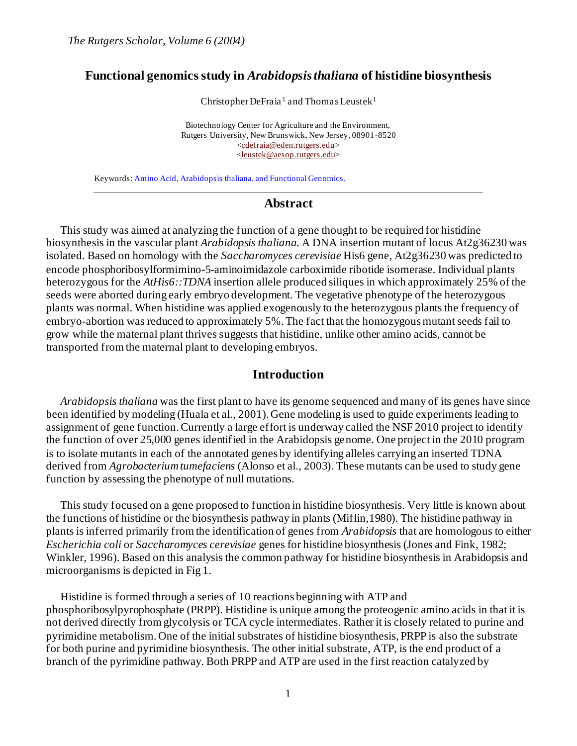#### **Functional genomics study in** *Arabidopsis thaliana* **of histidine biosynthesis**

Christopher DeFraia<sup>1</sup> and Thomas Leustek<sup>1</sup>

Biotechnology Center for Agriculture and the Environment, Rutgers University, New Brunswick, New Jersey, 08901-8520 [<cdefraia@eden.rutgers.edu>](mailto:cdefraia@eden.rutgers.edu) [<leustek@aesop.rutgers.edu>](mailto:leustek@aesop.rutgers.edu)

Keywords: Amino Acid, Arabidopsis thaliana, and Functional Genomics.

#### **Abstract**

This study was aimed at analyzing the function of a gene thought to be required for histidine biosynthesis in the vascular plant *Arabidopsis thaliana*. A DNA insertion mutant of locus At2g36230 was isolated. Based on homology with the *Saccharomyces cerevisiae* His6 gene, At2g36230 was predicted to encode phosphoribosylformimino-5-aminoimidazole carboximide ribotide isomerase. Individual plants heterozygous for the *AtHis6::TDNA* insertion allele produced siliques in which approximately 25% of the seeds were aborted during early embryo development. The vegetative phenotype of the heterozygous plants was normal. When histidine was applied exogenously to the heterozygous plants the frequency of embryo-abortion was reduced to approximately 5%. The fact that the homozygous mutant seeds fail to grow while the maternal plant thrives suggests that histidine, unlike other amino acids, cannot be transported from the maternal plant to developing embryos.

#### **Introduction**

*Arabidopsis thaliana* was the first plant to have its genome sequenced and many of its genes have since been identified by modeling (Huala et al., 2001). Gene modeling is used to guide experiments leading to assignment of gene function. Currently a large effort is underway called the NSF 2010 project to identify the function of over 25,000 genes identified in the Arabidopsis genome. One project in the 2010 program is to isolate mutants in each of the annotated genes by identifying alleles carrying an inserted TDNA derived from *Agrobacterium tumefaciens* (Alonso et al., 2003). These mutants can be used to study gene function by assessing the phenotype of null mutations.

This study focused on a gene proposed to function in histidine biosynthesis. Very little is known about the functions of histidine or the biosynthesis pathway in plants (Miflin,1980). The histidine pathway in plants is inferred primarily from the identification of genes from *Arabidopsis* that are homologous to either *Escherichia coli* or *Saccharomyces cerevisiae* genes for histidine biosynthesis (Jones and Fink, 1982; Winkler, 1996). Based on this analysis the common pathway for histidine biosynthesis in Arabidopsis and microorganisms is depicted in Fig 1.

Histidine is formed through a series of 10 reactions beginning with ATP and phosphoribosylpyrophosphate (PRPP). Histidine is unique among the proteogenic amino acids in that it is not derived directly from glycolysis or TCA cycle intermediates. Rather it is closely related to purine and pyrimidine metabolism. One of the initial substrates of histidine biosynthesis, PRPP is also the substrate for both purine and pyrimidine biosynthesis. The other initial substrate, ATP, is the end product of a branch of the pyrimidine pathway. Both PRPP and ATP are used in the first reaction catalyzed by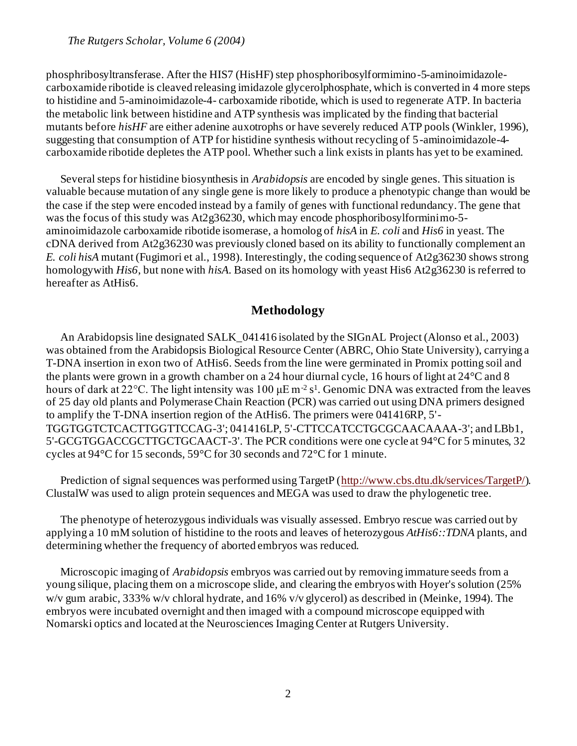phosphribosyltransferase. After the HIS7 (HisHF) step phosphoribosylformimino-5-aminoimidazolecarboxamide ribotide is cleaved releasing imidazole glycerolphosphate, which is converted in 4 more steps to histidine and 5-aminoimidazole-4- carboxamide ribotide, which is used to regenerate ATP. In bacteria the metabolic link between histidine and ATP synthesis was implicated by the finding that bacterial mutants before *hisHF* are either adenine auxotrophs or have severely reduced ATP pools (Winkler, 1996), suggesting that consumption of ATP for histidine synthesis without recycling of 5-aminoimidazole-4 carboxamide ribotide depletes the ATP pool. Whether such a link exists in plants has yet to be examined.

Several steps for histidine biosynthesis in *Arabidopsis* are encoded by single genes. This situation is valuable because mutation of any single gene is more likely to produce a phenotypic change than would be the case if the step were encoded instead by a family of genes with functional redundancy. The gene that was the focus of this study was At2g36230, which may encode phosphoribosylforminimo-5 aminoimidazole carboxamide ribotide isomerase, a homolog of *hisA* in *E. coli* and *His6* in yeast. The cDNA derived from At2g36230 was previously cloned based on its ability to functionally complement an *E. coli hisA* mutant (Fugimori et al., 1998). Interestingly, the coding sequence of At2g36230 shows strong homologywith *His6*, but none with *hisA*. Based on its homology with yeast His6 At2g36230 is referred to hereafter as AtHis6.

## **Methodology**

An Arabidopsis line designated SALK\_041416 isolated by the SIGnAL Project (Alonso et al., 2003) was obtained from the Arabidopsis Biological Resource Center (ABRC, Ohio State University), carrying a T-DNA insertion in exon two of AtHis6. Seeds from the line were germinated in Promix potting soil and the plants were grown in a growth chamber on a 24 hour diurnal cycle, 16 hours of light at 24°C and 8 hours of dark at 22 °C. The light intensity was 100  $\mu$ E m<sup>-2</sup> s<sup>1</sup>. Genomic DNA was extracted from the leaves of 25 day old plants and Polymerase Chain Reaction (PCR) was carried out using DNA primers designed to amplify the T-DNA insertion region of the AtHis6. The primers were 041416RP, 5'- TGGTGGTCTCACTTGGTTCCAG-3'; 041416LP, 5'-CTTCCATCCTGCGCAACAAAA-3'; and LBb1, 5'-GCGTGGACCGCTTGCTGCAACT-3'. The PCR conditions were one cycle at 94°C for 5 minutes, 32 cycles at 94°C for 15 seconds, 59°C for 30 seconds and 72°C for 1 minute.

Prediction of signal sequences was performed using TargetP [\(http://www.cbs.dtu.dk/services/TargetP/](http://www.cbs.dtu.dk/services/TargetP/)). ClustalW was used to align protein sequences and MEGA was used to draw the phylogenetic tree.

The phenotype of heterozygous individuals was visually assessed. Embryo rescue was carried out by applying a 10 mM solution of histidine to the roots and leaves of heterozygous *AtHis6::TDNA* plants, and determining whether the frequency of aborted embryos was reduced.

Microscopic imaging of *Arabidopsis* embryos was carried out by removing immature seeds from a young silique, placing them on a microscope slide, and clearing the embryos with Hoyer's solution (25% w/v gum arabic, 333% w/v chloral hydrate, and 16% v/v glycerol) as described in (Meinke, 1994). The embryos were incubated overnight and then imaged with a compound microscope equipped with Nomarski optics and located at the Neurosciences Imaging Center at Rutgers University.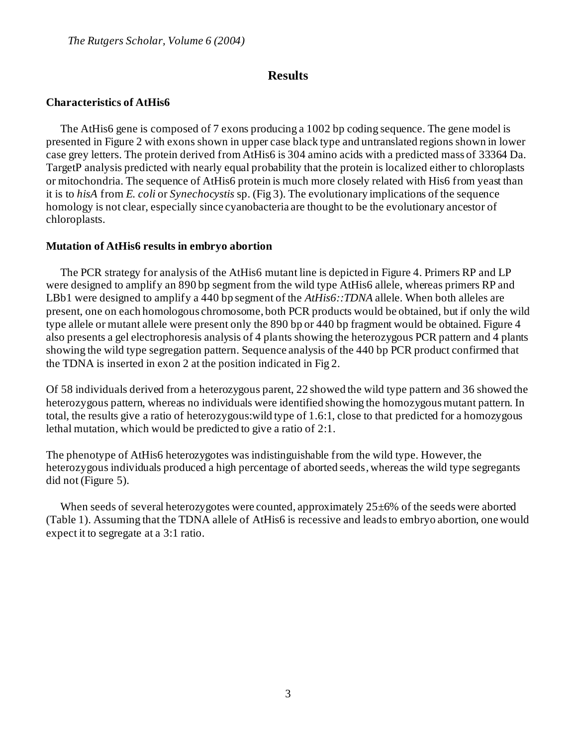## **Results**

## **Characteristics of AtHis6**

The AtHis6 gene is composed of 7 exons producing a 1002 bp coding sequence. The gene model is presented in Figure 2 with exons shown in upper case black type and untranslated regions shown in lower case grey letters. The protein derived from AtHis6 is 304 amino acids with a predicted mass of 33364 Da. TargetP analysis predicted with nearly equal probability that the protein is localized either to chloroplasts or mitochondria. The sequence of AtHis6 protein is much more closely related with His6 from yeast than it is to *hisA* from *E. coli* or *Synechocystis* sp. (Fig 3). The evolutionary implications of the sequence homology is not clear, especially since cyanobacteria are thought to be the evolutionary ancestor of chloroplasts.

## **Mutation of AtHis6 results in embryo abortion**

The PCR strategy for analysis of the AtHis6 mutant line is depicted in Figure 4. Primers RP and LP were designed to amplify an 890 bp segment from the wild type AtHis6 allele, whereas primers RP and LBb1 were designed to amplify a 440 bp segment of the *AtHis6::TDNA* allele. When both alleles are present, one on each homologous chromosome, both PCR products would be obtained, but if only the wild type allele or mutant allele were present only the 890 bp or 440 bp fragment would be obtained. Figure 4 also presents a gel electrophoresis analysis of 4 plants showing the heterozygous PCR pattern and 4 plants showing the wild type segregation pattern. Sequence analysis of the 440 bp PCR product confirmed that the TDNA is inserted in exon 2 at the position indicated in Fig 2.

Of 58 individuals derived from a heterozygous parent, 22 showed the wild type pattern and 36 showed the heterozygous pattern, whereas no individuals were identified showing the homozygous mutant pattern. In total, the results give a ratio of heterozygous:wild type of 1.6:1, close to that predicted for a homozygous lethal mutation, which would be predicted to give a ratio of 2:1.

The phenotype of AtHis6 heterozygotes was indistinguishable from the wild type. However, the heterozygous individuals produced a high percentage of aborted seeds, whereas the wild type segregants did not (Figure 5).

When seeds of several heterozygotes were counted, approximately 25 $\pm$ 6% of the seeds were aborted (Table 1). Assuming that the TDNA allele of AtHis6 is recessive and leads to embryo abortion, one would expect it to segregate at a 3:1 ratio.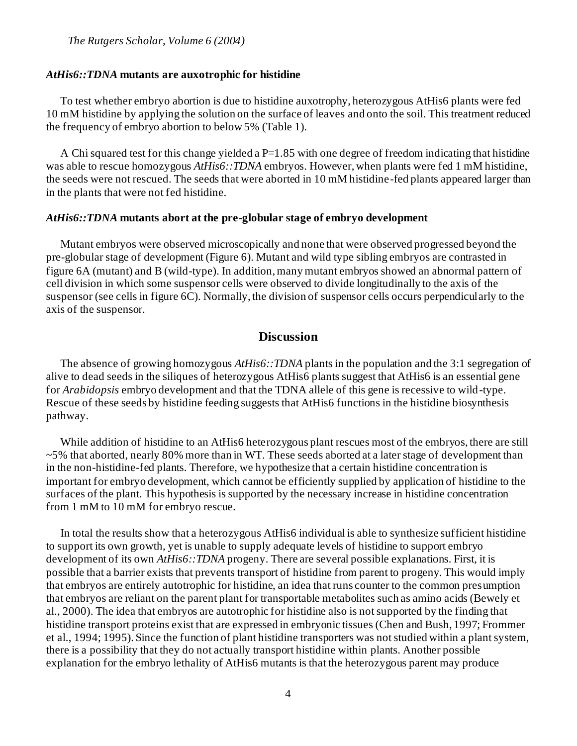*The Rutgers Scholar, Volume 6 (2004)*

#### *AtHis6::TDNA* **mutants are auxotrophic for histidine**

To test whether embryo abortion is due to histidine auxotrophy, heterozygous AtHis6 plants were fed 10 mM histidine by applying the solution on the surface of leaves and onto the soil. This treatment reduced the frequency of embryo abortion to below 5% (Table 1).

A Chi squared test for this change yielded a  $P=1.85$  with one degree of freedom indicating that histidine was able to rescue homozygous *AtHis6::TDNA* embryos. However, when plants were fed 1 mM histidine, the seeds were not rescued. The seeds that were aborted in 10 mM histidine-fed plants appeared larger than in the plants that were not fed histidine.

#### *AtHis6::TDNA* **mutants abort at the pre-globular stage of embryo development**

Mutant embryos were observed microscopically and none that were observed progressed beyond the pre-globular stage of development (Figure 6). Mutant and wild type sibling embryos are contrasted in figure 6A (mutant) and B (wild-type). In addition, many mutant embryos showed an abnormal pattern of cell division in which some suspensor cells were observed to divide longitudinally to the axis of the suspensor (see cells in figure 6C). Normally, the division of suspensor cells occurs perpendicularly to the axis of the suspensor.

## **Discussion**

The absence of growing homozygous *AtHis6::TDNA* plants in the population and the 3:1 segregation of alive to dead seeds in the siliques of heterozygous AtHis6 plants suggest that AtHis6 is an essential gene for *Arabidopsis* embryo development and that the TDNA allele of this gene is recessive to wild-type. Rescue of these seeds by histidine feeding suggests that AtHis6 functions in the histidine biosynthesis pathway.

While addition of histidine to an AtHis6 heterozygous plant rescues most of the embryos, there are still ~5% that aborted, nearly 80% more than in WT. These seeds aborted at a later stage of development than in the non-histidine-fed plants. Therefore, we hypothesize that a certain histidine concentration is important for embryo development, which cannot be efficiently supplied by application of histidine to the surfaces of the plant. This hypothesis is supported by the necessary increase in histidine concentration from 1 mM to 10 mM for embryo rescue.

In total the results show that a heterozygous AtHis6 individual is able to synthesize sufficient histidine to support its own growth, yet is unable to supply adequate levels of histidine to support embryo development of its own *AtHis6::TDNA* progeny. There are several possible explanations. First, it is possible that a barrier exists that prevents transport of histidine from parent to progeny. This would imply that embryos are entirely autotrophic for histidine, an idea that runs counter to the common presumption that embryos are reliant on the parent plant for transportable metabolites such as amino acids (Bewely et al., 2000). The idea that embryos are autotrophic for histidine also is not supported by the finding that histidine transport proteins exist that are expressed in embryonic tissues (Chen and Bush, 1997; Frommer et al., 1994; 1995). Since the function of plant histidine transporters was not studied within a plant system, there is a possibility that they do not actually transport histidine within plants. Another possible explanation for the embryo lethality of AtHis6 mutants is that the heterozygous parent may produce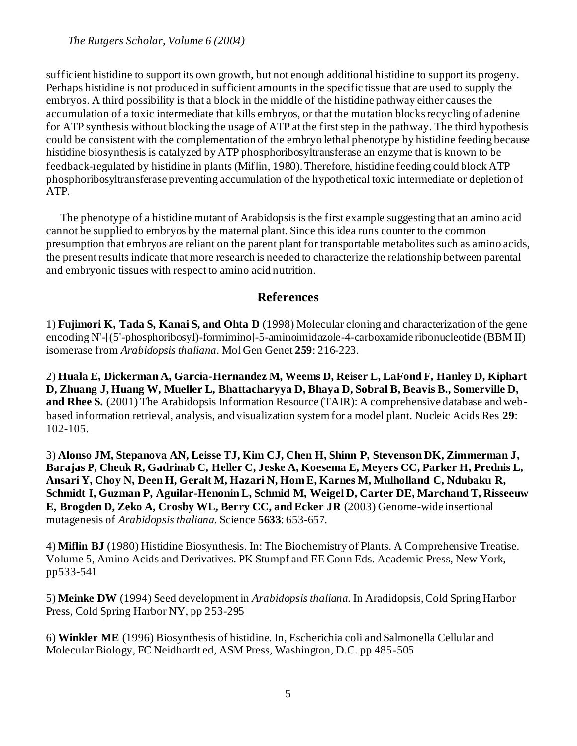sufficient histidine to support its own growth, but not enough additional histidine to support its progeny. Perhaps histidine is not produced in sufficient amounts in the specific tissue that are used to supply the embryos. A third possibility is that a block in the middle of the histidine pathway either causes the accumulation of a toxic intermediate that kills embryos, or that the mutation blocks recycling of adenine for ATP synthesis without blocking the usage of ATP at the first step in the pathway. The third hypothesis could be consistent with the complementation of the embryo lethal phenotype by histidine feeding because histidine biosynthesis is catalyzed by ATP phosphoribosyltransferase an enzyme that is known to be feedback-regulated by histidine in plants (Miflin, 1980). Therefore, histidine feeding could block ATP phosphoribosyltransferase preventing accumulation of the hypothetical toxic intermediate or depletion of ATP.

The phenotype of a histidine mutant of Arabidopsis is the first example suggesting that an amino acid cannot be supplied to embryos by the maternal plant. Since this idea runs counter to the common presumption that embryos are reliant on the parent plant for transportable metabolites such as amino acids, the present results indicate that more research is needed to characterize the relationship between parental and embryonic tissues with respect to amino acid nutrition.

# **References**

1) **Fujimori K, Tada S, Kanai S, and Ohta D** (1998) Molecular cloning and characterization of the gene encoding N'-[(5'-phosphoribosyl)-formimino]-5-aminoimidazole-4-carboxamide ribonucleotide (BBM II) isomerase from *Arabidopsis thaliana*. Mol Gen Genet **259**: 216-223.

2) **Huala E, Dickerman A, Garcia-Hernandez M, Weems D, Reiser L, LaFond F, Hanley D, Kiphart D, Zhuang J, Huang W, Mueller L, Bhattacharyya D, Bhaya D, Sobral B, Beavis B., Somerville D, and Rhee S.** (2001) The Arabidopsis Information Resource (TAIR): A comprehensive database and webbased information retrieval, analysis, and visualization system for a model plant. Nucleic Acids Res **29**: 102-105.

3) **Alonso JM, Stepanova AN, Leisse TJ, Kim CJ, Chen H, Shinn P, Stevenson DK, Zimmerman J, Barajas P, Cheuk R, Gadrinab C, Heller C, Jeske A, Koesema E, Meyers CC, Parker H, Prednis L, Ansari Y, Choy N, Deen H, Geralt M, Hazari N, Hom E, Karnes M, Mulholland C, Ndubaku R, Schmidt I, Guzman P, Aguilar-Henonin L, Schmid M, Weigel D, Carter DE, Marchand T, Risseeuw E, Brogden D, Zeko A, Crosby WL, Berry CC, and Ecker JR** (2003) Genome-wide insertional mutagenesis of *Arabidopsis thaliana*. Science **5633**: 653-657.

4) **Miflin BJ** (1980) Histidine Biosynthesis. In: The Biochemistry of Plants. A Comprehensive Treatise. Volume 5, Amino Acids and Derivatives. PK Stumpf and EE Conn Eds. Academic Press, New York, pp533-541

5) **Meinke DW** (1994) Seed development in *Arabidopsis thaliana*. In Aradidopsis, Cold Spring Harbor Press, Cold Spring Harbor NY, pp 253-295

6) **Winkler ME** (1996) Biosynthesis of histidine. In, Escherichia coli and Salmonella Cellular and Molecular Biology, FC Neidhardt ed, ASM Press, Washington, D.C. pp 485-505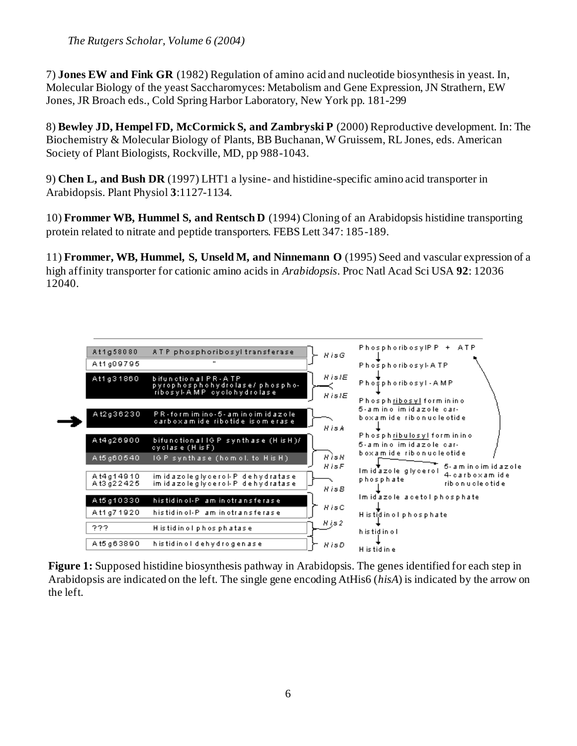7) **Jones EW and Fink GR** (1982) Regulation of amino acid and nucleotide biosynthesis in yeast. In, Molecular Biology of the yeast Saccharomyces: Metabolism and Gene Expression, JN Strathern, EW Jones, JR Broach eds., Cold Spring Harbor Laboratory, New York pp. 181-299

8) **Bewley JD, Hempel FD, McCormick S, and Zambryski P** (2000) Reproductive development. In: The Biochemistry & Molecular Biology of Plants, BB Buchanan, W Gruissem, RL Jones, eds. American Society of Plant Biologists, Rockville, MD, pp 988-1043.

9) **Chen L, and Bush DR** (1997) LHT1 a lysine- and histidine-specific amino acid transporter in Arabidopsis. Plant Physiol **3**:1127-1134.

10) **Frommer WB, Hummel S, and Rentsch D** (1994) Cloning of an Arabidopsis histidine transporting protein related to nitrate and peptide transporters. FEBS Lett 347: 185-189.

11) **Frommer, WB, Hummel, S, Unseld M, and Ninnemann O** (1995) Seed and vascular expression of a high affinity transporter for cationic amino acids in *Arabidopsis*. Proc Natl Acad Sci USA **92**: 12036 12040.



**Figure 1:** Supposed histidine biosynthesis pathway in Arabidopsis. The genes identified for each step in Arabidopsis are indicated on the left. The single gene encoding AtHis6 (*hisA*) is indicated by the arrow on the left.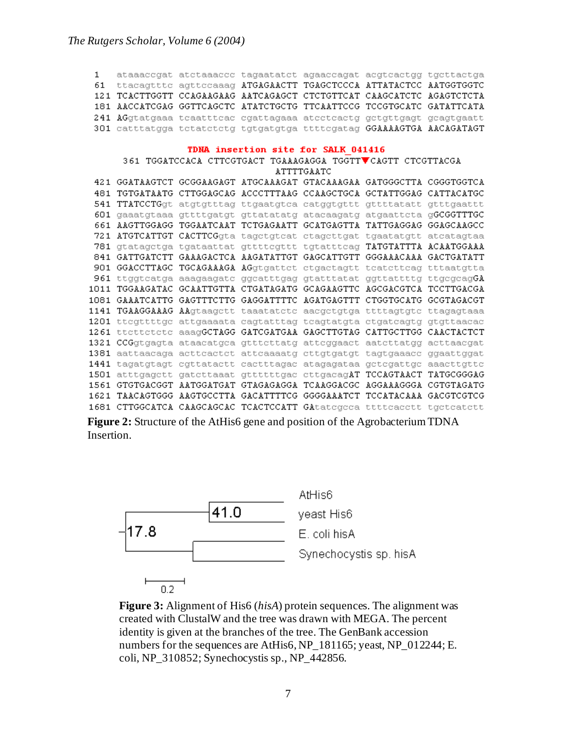ataaaccgat atctaaaccc tagaatatct agaaccagat acgtcactgg tgcttactga  $\mathbf{1}$ 61 ttacagttte agttecaaag ATGAGAACTT TGAGCTCCCA ATTATACTCC AATGGTGGTC 121 TCACTTGGTT CCAGAAGAAG AATCAGAGCT CTCTGTTCAT CAAGCATCTC AGAGTCTCTA 181 AACCATCGAG GGTTCAGCTC ATATCTGCTG TTCAATTCCG TCCGTGCATC GATATTCATA 241 AGgtatgaaa tcaatttcac cgattagaaa atcctcactg gctgttgagt gcagtgaatt 301 catttatgga tetatetetg tgtgatgtga ttttegatag GGAAAAGTGA AACAGATAGT

#### TDNA insertion site for SALK 041416

361 TGGATCCACA CTTCGTGACT TGAAAGAGGA TGGTTVCAGTT CTCGTTACGA ATTTTGAATC 421 GGATAAGTCT GCGGAAGAGT ATGCAAAGAT GTACAAAGAA GATGGGCTTA CGGGTGGTCA 481 TGTGATAATG CTTGGAGCAG ACCCTTTAAG CCAAGCTGCA GCTATTGGAG CATTACATGC 541 TTATCCTGgt atgtgtttag ttgaatgtca catggtgttt gttttatatt gtttgaattt 601 gaaatgtaaa gttttgatgt gttatatatg atacaagatg atgaattcta gGCGGTTTGC 661 AAGTTGGAGG TGGAATCAAT TCTGAGAATT GCATGAGTTA TATTGAGGAG GGAGCAAGCC 721 ATGTCATTGT CACTTCGgta tagetgteat etagettgat tgaatatgtt ateatagtaa 781 gtatagetga tgataattat gttttegttt tgtattteag TATGTATTTA ACAATGGAAA 841 GATTGATCTT GAAAGACTCA AAGATATTGT GAGCATTGTT GGGAAACAAA GACTGATATT 901 GGACCTTAGC TGCAGAAAGA AGgtgattet etgaetagtt teatetteag tttaatgtta 961 ttggtcatga aaagaagatc ggcatttgag gtatttatat ggttattttg ttgcgcagGA 1011 TGGAAGATAC GCAATTGTTA CTGATAGATG GCAGAAGTTC AGCGACGTCA TCCTTGACGA 1081 GAAATCATTG GAGTTTCTTG GAGGATTTTC AGATGAGTTT CTGGTGCATG GCGTAGACGT 1141 TGAAGGAAAG AAgtaagett taaatatete aaegetgtga ttttagtgte ttagagtaaa 1201 ttcgttttgc attgaaaata cagtatttag tcagtatgta ctgatcagtg gtgttaacac 1261 ttettetete aaagGCTAGG GATCGATGAA GAGCTTGTAG CATTGCTTGG CAACTACTCT 1321 CCGgtgagta ataacatgca gtttcttatg attcggaact aatcttatgg acttaacgat 1381 aattaacaga acttcactct attcaaaatg cttgtgatgt tagtgaaacc ggaattggat 1441 tagatgtagt egttataett caetttagae atagagataa getegattge aaaettgtte 1501 atttgagett gatettaaat gttttttgae ettgaeagAT TCCAGTAACT TATGCGGGAG 1561 GTGTGACGGT AATGGATGAT GTAGAGAGGA TCAAGGACGC AGGAAAGGGA CGTGTAGATG 1621 TAACAGTGGG AAGTGCCTTA GACATTTTCG GGGGAAATCT TCCATACAAA GACGTCGTCG 1681 CTTGGCATCA CAAGCAGCAC TCACTCCATT GAtategeea tttteaeett tgeteatett

**Figure 2:** Structure of the AtHis6 gene and position of the Agrobacterium TDNA Insertion.



**Figure 3:** Alignment of His6 (*hisA*) protein sequences. The alignment was created with ClustalW and the tree was drawn with MEGA. The percent identity is given at the branches of the tree. The GenBank accession numbers for the sequences are AtHis6, NP\_181165; yeast, NP\_012244; E. coli, NP\_310852; Synechocystis sp., NP\_442856.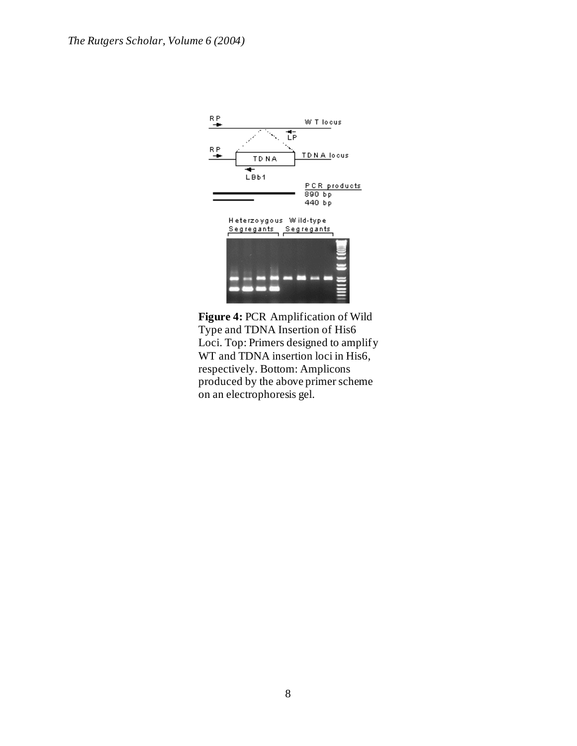

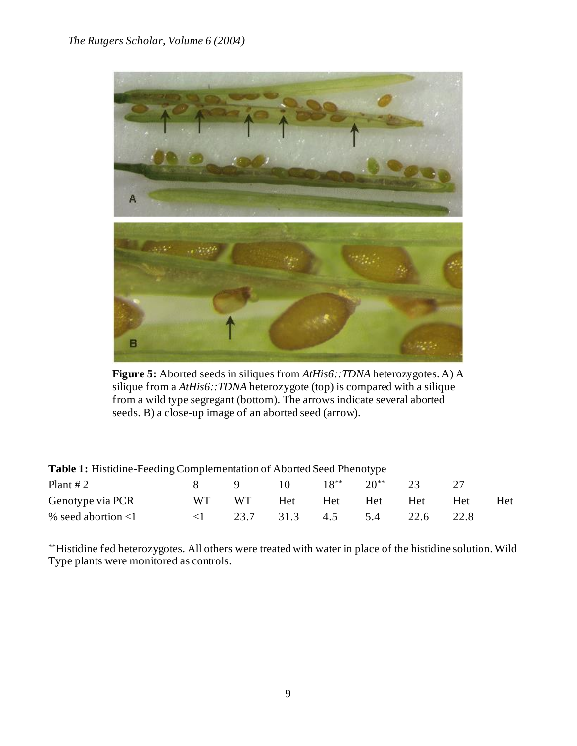

**Figure 5:** Aborted seeds in siliques from *AtHis6::TDNA* heterozygotes. A) A silique from a *AtHis6::TDNA* heterozygote (top) is compared with a silique from a wild type segregant (bottom). The arrows indicate several aborted seeds. B) a close-up image of an aborted seed (arrow).

| <b>Table 1:</b> Histidine-Feeding Complementation of Aborted Seed Phenotype |                      |        |                   |           |              |      |      |            |
|-----------------------------------------------------------------------------|----------------------|--------|-------------------|-----------|--------------|------|------|------------|
| Plant $#2$                                                                  |                      | 8 9 10 |                   | $18^{**}$ | $20^{**}$ 23 |      | - 77 |            |
| Genotype via PCR                                                            | WT WT                |        | Het               | Het Het   |              | Het  | Het  | <b>Het</b> |
| % seed abortion $\leq 1$                                                    | $\leq$ $\leq$ $\geq$ |        | 23.7 31.3 4.5 5.4 |           |              | 22.6 | 22.8 |            |

\*\*Histidine fed heterozygotes. All others were treated with water in place of the histidine solution. Wild Type plants were monitored as controls.